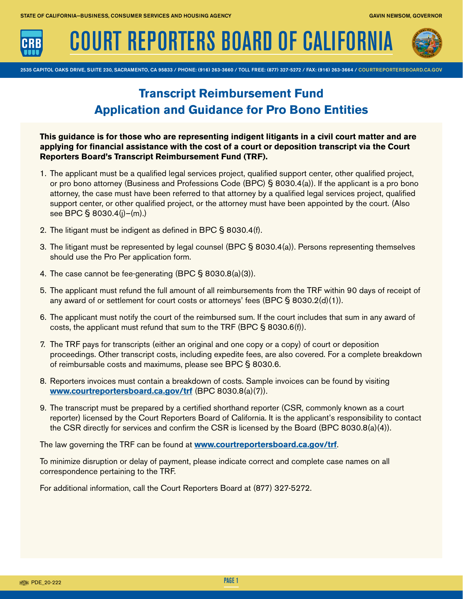

COURT REPORTERS BOARD OF CALIFORNIA



2535 CAPITOL OAKS DRIVE, SUITE 230, SACRAMENTO, CA 95833 / PHONE: (916) 263-3660 / TOLL FREE: (877) 327-5272 / FAX: (916) 263-3664 / COURTREPORTERSBOARD.CA.GOV

# **Transcript Reimbursement Fund Application and Guidance for Pro Bono Entities**

**This guidance is for those who are representing indigent litigants in a civil court matter and are applying for fnancial assistance with the cost of a court or deposition transcript via the Court Reporters Board's Transcript Reimbursement Fund (TRF).** 

- 1. The applicant must be a qualified legal services project, qualified support center, other qualified project, or pro bono attorney (Business and Professions Code (BPC) § 8030.4(a)). If the applicant is a pro bono attorney, the case must have been referred to that attorney by a qualifed legal services project, qualifed support center, or other qualifed project, or the attorney must have been appointed by the court. (Also see BPC § 8030.4(j)–(m).)
- 2. The litigant must be indigent as defned in BPC § 8030.4(f).
- 3. The litigant must be represented by legal counsel (BPC § 8030.4(a)). Persons representing themselves should use the Pro Per application form.
- 4. The case cannot be fee-generating (BPC § 8030.8(a)(3)).
- 5. The applicant must refund the full amount of all reimbursements from the TRF within 90 days of receipt of any award of or settlement for court costs or attorneys' fees  $(BPC \S 8030.2(d)(1))$ .
- 6. The applicant must notify the court of the reimbursed sum. If the court includes that sum in any award of costs, the applicant must refund that sum to the TRF (BPC § 8030.6(f)).
- 7. The TRF pays for transcripts (either an original and one copy or a copy) of court or deposition proceedings. Other transcript costs, including expedite fees, are also covered. For a complete breakdown of reimbursable costs and maximums, please see BPC § 8030.6.
- 8. Reporters invoices must contain a breakdown of costs. Sample invoices can be found by visiting **<www.courtreportersboard.ca.gov/trf>** (BPC 8030.8(a)(7)).
- 9. The transcript must be prepared by a certifed shorthand reporter (CSR, commonly known as a court reporter) licensed by the Court Reporters Board of California. It is the applicant's responsibility to contact the CSR directly for services and confirm the CSR is licensed by the Board (BPC 8030.8(a)(4)).

The law governing the TRF can be found at **<www.courtreportersboard.ca.gov/trf>**.

To minimize disruption or delay of payment, please indicate correct and complete case names on all correspondence pertaining to the TRF.

For additional information, call the Court Reporters Board at (877) 327-5272.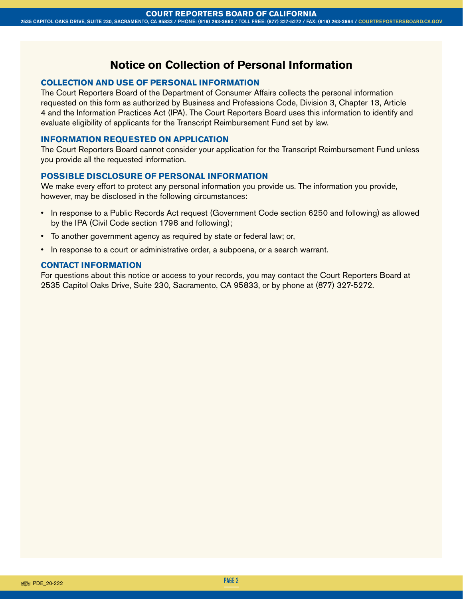# **Notice on Collection of Personal Information**

#### **COLLECTION AND USE OF PERSONAL INFORMATION**

The Court Reporters Board of the Department of Consumer Affairs collects the personal information requested on this form as authorized by Business and Professions Code, Division 3, Chapter 13, Article 4 and the Information Practices Act (IPA). The Court Reporters Board uses this information to identify and evaluate eligibility of applicants for the Transcript Reimbursement Fund set by law.

#### **INFORMATION REQUESTED ON APPLICATION**

The Court Reporters Board cannot consider your application for the Transcript Reimbursement Fund unless you provide all the requested information.

## **POSSIBLE DISCLOSURE OF PERSONAL INFORMATION**

We make every effort to protect any personal information you provide us. The information you provide, however, may be disclosed in the following circumstances:

- In response to a Public Records Act request (Government Code section 6250 and following) as allowed by the IPA (Civil Code section 1798 and following);
- To another government agency as required by state or federal law; or,
- In response to a court or administrative order, a subpoena, or a search warrant.

## **CONTACT INFORMATION**

For questions about this notice or access to your records, you may contact the Court Reporters Board at 2535 Capitol Oaks Drive, Suite 230, Sacramento, CA 95833, or by phone at (877) 327-5272.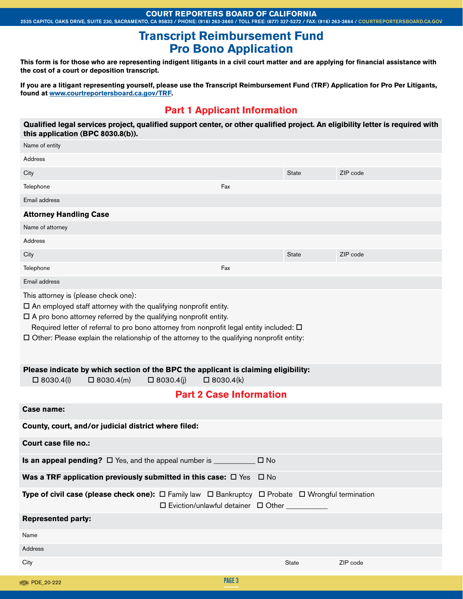#### **COURT REPORTERS BOARD OF CALIFORNIA**

2535 CAPITOL OAKS DRIVE, SUITE 230, SACRAMENTO, CA 95833 / PHONE: (916) 263-3660 / TOLL FREE: (877) 327-5272 / FAX: (916) 263-3664 / COURTREPORTERSBOARD.CA.GOV

# **Transcript Reimbursement Fund Pro Bono Application**

This form is for those who are representing indigent litigants in a civil court matter and are applying for financial assistance with **the cost of a court or deposition transcript.** 

**If you are a litigant representing yourself, please use the Transcript Reimbursement Fund (TRF) Application for Pro Per Litigants, found at [www.courtreportersboard.ca.gov/TRF.](www.courtreportersboard.ca.gov/TRF)** 

# **Part 1 Applicant Information**

Qualified legal services project, qualified support center, or other qualified project. An eligibility letter is required with **this application (BPC 8030.8(b)).** 

| Name of entity                                                                                                                                                                                                                                                                                                                                                                                         |                                                      |              |          |
|--------------------------------------------------------------------------------------------------------------------------------------------------------------------------------------------------------------------------------------------------------------------------------------------------------------------------------------------------------------------------------------------------------|------------------------------------------------------|--------------|----------|
| Address                                                                                                                                                                                                                                                                                                                                                                                                |                                                      |              |          |
| City                                                                                                                                                                                                                                                                                                                                                                                                   |                                                      | <b>State</b> | ZIP code |
| Telephone                                                                                                                                                                                                                                                                                                                                                                                              | Fax                                                  |              |          |
| Email address                                                                                                                                                                                                                                                                                                                                                                                          |                                                      |              |          |
| <b>Attorney Handling Case</b>                                                                                                                                                                                                                                                                                                                                                                          |                                                      |              |          |
| Name of attorney                                                                                                                                                                                                                                                                                                                                                                                       |                                                      |              |          |
| Address                                                                                                                                                                                                                                                                                                                                                                                                |                                                      |              |          |
| City                                                                                                                                                                                                                                                                                                                                                                                                   |                                                      | <b>State</b> | ZIP code |
| Telephone                                                                                                                                                                                                                                                                                                                                                                                              | Fax                                                  |              |          |
| Email address                                                                                                                                                                                                                                                                                                                                                                                          |                                                      |              |          |
| This attorney is (please check one):<br>$\square$ An employed staff attorney with the qualifying nonprofit entity.<br>$\Box$ A pro bono attorney referred by the qualifying nonprofit entity.<br>Required letter of referral to pro bono attorney from nonprofit legal entity included: $\Box$<br>$\square$ Other: Please explain the relationship of the attorney to the qualifying nonprofit entity: |                                                      |              |          |
| Please indicate by which section of the BPC the applicant is claiming eligibility:<br>$\Box$ 8030.4(I)<br>$\Box$ 8030.4(m)                                                                                                                                                                                                                                                                             | $\Box$ 8030.4(j)<br>$\Box$ 8030.4(k)                 |              |          |
|                                                                                                                                                                                                                                                                                                                                                                                                        | <b>Part 2 Case Information</b>                       |              |          |
| Case name:                                                                                                                                                                                                                                                                                                                                                                                             |                                                      |              |          |
| County, court, and/or judicial district where filed:                                                                                                                                                                                                                                                                                                                                                   |                                                      |              |          |
| Court case file no.:                                                                                                                                                                                                                                                                                                                                                                                   |                                                      |              |          |
| <b>Is an appeal pending?</b> $\Box$ Yes, and the appeal number is $\Box$                                                                                                                                                                                                                                                                                                                               |                                                      | $\square$ No |          |
| Was a TRF application previously submitted in this case: $\Box$ Yes                                                                                                                                                                                                                                                                                                                                    |                                                      | $\Box$ No    |          |
| Type of civil case (please check one): $\Box$ Family law $\Box$ Bankruptcy $\Box$ Probate $\Box$ Wrongful termination                                                                                                                                                                                                                                                                                  | $\square$ Eviction/unlawful detainer $\square$ Other |              |          |
| <b>Represented party:</b>                                                                                                                                                                                                                                                                                                                                                                              |                                                      |              |          |
| Name                                                                                                                                                                                                                                                                                                                                                                                                   |                                                      |              |          |
| Address                                                                                                                                                                                                                                                                                                                                                                                                |                                                      |              |          |
| City                                                                                                                                                                                                                                                                                                                                                                                                   |                                                      | State        | ZIP code |
| PDE_20-222                                                                                                                                                                                                                                                                                                                                                                                             | PAGE 3                                               |              |          |